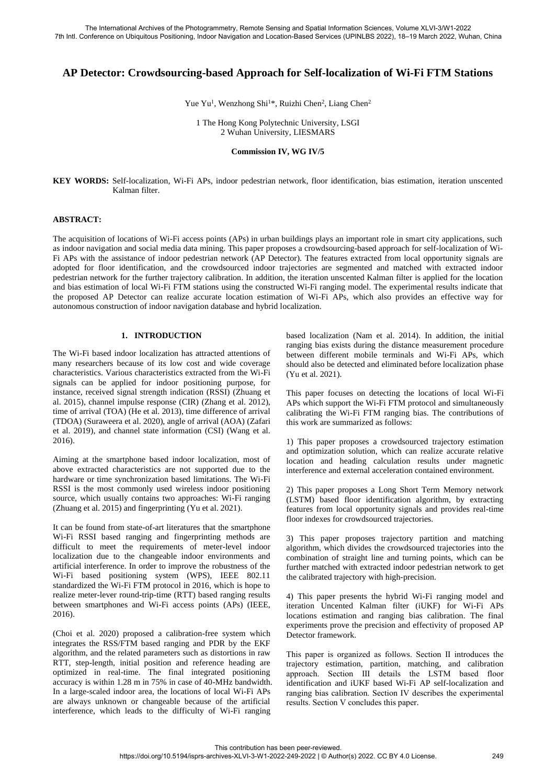# **AP Detector: Crowdsourcing-based Approach for Self-localization of Wi-Fi FTM Stations**

Yue Yu<sup>1</sup>, Wenzhong Shi<sup>1\*</sup>, Ruizhi Chen<sup>2</sup>, Liang Chen<sup>2</sup>

1 The Hong Kong Polytechnic University, LSGI 2 Wuhan University, LIESMARS

### **Commission IV, WG IV/5**

**KEY WORDS:** Self-localization, Wi-Fi APs, indoor pedestrian network, floor identification, bias estimation, iteration unscented Kalman filter.

### **ABSTRACT:**

The acquisition of locations of Wi-Fi access points (APs) in urban buildings plays an important role in smart city applications, such as indoor navigation and social media data mining. This paper proposes a crowdsourcing-based approach for self-localization of Wi-Fi APs with the assistance of indoor pedestrian network (AP Detector). The features extracted from local opportunity signals are adopted for floor identification, and the crowdsourced indoor trajectories are segmented and matched with extracted indoor pedestrian network for the further trajectory calibration. In addition, the iteration unscented Kalman filter is applied for the location and bias estimation of local Wi-Fi FTM stations using the constructed Wi-Fi ranging model. The experimental results indicate that the proposed AP Detector can realize accurate location estimation of Wi-Fi APs, which also provides an effective way for autonomous construction of indoor navigation database and hybrid localization.

# **1. INTRODUCTION**

The Wi-Fi based indoor localization has attracted attentions of many researchers because of its low cost and wide coverage characteristics. Various characteristics extracted from the Wi-Fi signals can be applied for indoor positioning purpose, for instance, received signal strength indication (RSSI) (Zhuang et al. 2015), channel impulse response (CIR) (Zhang et al. 2012), time of arrival (TOA) (He et al. 2013), time difference of arrival (TDOA) (Suraweera et al. 2020), angle of arrival (AOA) (Zafari et al. 2019), and channel state information (CSI) (Wang et al. 2016).

Aiming at the smartphone based indoor localization, most of above extracted characteristics are not supported due to the hardware or time synchronization based limitations. The Wi-Fi RSSI is the most commonly used wireless indoor positioning source, which usually contains two approaches: Wi-Fi ranging (Zhuang et al. 2015) and fingerprinting (Yu et al. 2021).

It can be found from state-of-art literatures that the smartphone Wi-Fi RSSI based ranging and fingerprinting methods are difficult to meet the requirements of meter-level indoor localization due to the changeable indoor environments and artificial interference. In order to improve the robustness of the Wi-Fi based positioning system (WPS), IEEE 802.11 standardized the Wi-Fi FTM protocol in 2016, which is hope to realize meter-lever round-trip-time (RTT) based ranging results between smartphones and Wi-Fi access points (APs) (IEEE, 2016).

(Choi et al. 2020) proposed a calibration-free system which integrates the RSS/FTM based ranging and PDR by the EKF algorithm, and the related parameters such as distortions in raw RTT, step-length, initial position and reference heading are optimized in real-time. The final integrated positioning accuracy is within 1.28 m in 75% in case of 40-MHz bandwidth. In a large-scaled indoor area, the locations of local Wi-Fi APs are always unknown or changeable because of the artificial interference, which leads to the difficulty of Wi-Fi ranging

based localization (Nam et al. 2014). In addition, the initial ranging bias exists during the distance measurement procedure between different mobile terminals and Wi-Fi APs, which should also be detected and eliminated before localization phase (Yu et al. 2021).

This paper focuses on detecting the locations of local Wi-Fi APs which support the Wi-Fi FTM protocol and simultaneously calibrating the Wi-Fi FTM ranging bias. The contributions of this work are summarized as follows:

1) This paper proposes a crowdsourced trajectory estimation and optimization solution, which can realize accurate relative location and heading calculation results under magnetic interference and external acceleration contained environment.

2) This paper proposes a Long Short Term Memory network (LSTM) based floor identification algorithm, by extracting features from local opportunity signals and provides real-time floor indexes for crowdsourced trajectories.

3) This paper proposes trajectory partition and matching algorithm, which divides the crowdsourced trajectories into the combination of straight line and turning points, which can be further matched with extracted indoor pedestrian network to get the calibrated trajectory with high-precision.

4) This paper presents the hybrid Wi-Fi ranging model and iteration Uncented Kalman filter (iUKF) for Wi-Fi APs locations estimation and ranging bias calibration. The final experiments prove the precision and effectivity of proposed AP Detector framework.

This paper is organized as follows. Section Ⅱ introduces the trajectory estimation, partition, matching, and calibration approach. Section Ⅲ details the LSTM based floor identification and iUKF based Wi-Fi AP self-localization and ranging bias calibration. Section Ⅳ describes the experimental results. Section Ⅴ concludes this paper.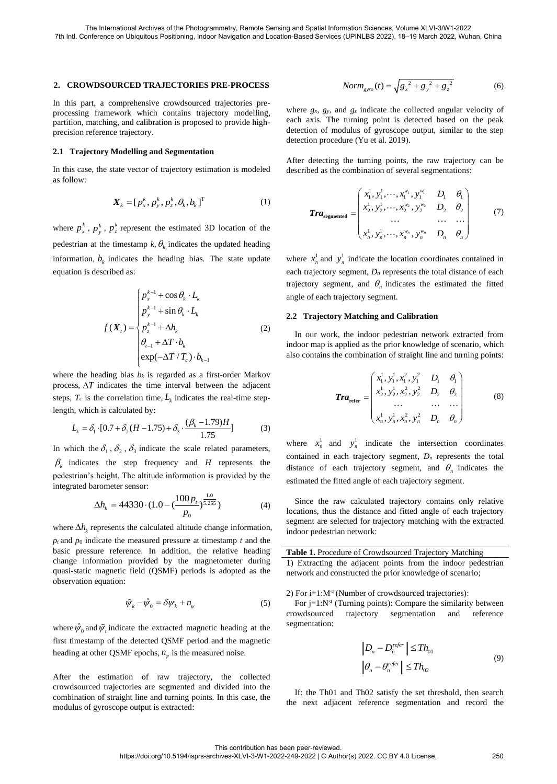#### **2. CROWDSOURCED TRAJECTORIES PRE-PROCESS**

In this part, a comprehensive crowdsourced trajectories preprocessing framework which contains trajectory modelling, partition, matching, and calibration is proposed to provide highprecision reference trajectory.

### **2.1 Trajectory Modelling and Segmentation**

In this case, the state vector of trajectory estimation is modeled as follow:

$$
\boldsymbol{X}_{k} = [p_{x}^{k}, p_{y}^{k}, p_{z}^{k}, \theta_{k}, b_{k}]^{T} \tag{1}
$$

where  $p_x^k$ ,  $p_y^k$ ,  $p_z^k$  represent the estimated 3D location of the pedestrian at the timestamp  $k$ ,  $\theta$ <sub>k</sub> indicates the updated heading information,  $b_k$  indicates the heading bias. The state update equation is described as:

$$
f(\boldsymbol{X}_{t}) = \begin{cases} p_{x}^{k-1} + \cos \theta_{k} \cdot \boldsymbol{L}_{k} \\ p_{y}^{k-1} + \sin \theta_{k} \cdot \boldsymbol{L}_{k} \\ p_{z}^{k-1} + \Delta h_{k} \\ \theta_{t-1} + \Delta \boldsymbol{T} \cdot \boldsymbol{b}_{k} \\ \exp(-\Delta \boldsymbol{T} / \boldsymbol{T}_{c}) \cdot \boldsymbol{b}_{k-1} \end{cases}
$$
(2)

where the heading bias  $b_k$  is regarded as a first-order Markov process,  $\Delta T$  indicates the time interval between the adjacent steps,  $T_c$  is the correlation time,  $L_k$  indicates the real-time step-

length, which is calculated by:  
\n
$$
L_k = \delta_1 \cdot [0.7 + \delta_2 (H - 1.75) + \delta_3 \cdot \frac{(\beta_k - 1.79)H}{1.75}]
$$
\n(3)

In which the  $\delta_1$ ,  $\delta_2$ ,  $\delta_3$  indicate the scale related parameters,  $\beta_k$  indicates the step frequency and *H* represents the pedestrian's height. The altitude information is provided by the integrated barometer sensor:

$$
\Delta h_k = 44330 \cdot (1.0 - (\frac{100p_t}{p_0})^{\frac{1.0}{5.255}})
$$
 (4)

where  $\Delta h_k$  represents the calculated altitude change information,  $p_t$  and  $p_0$  indicate the measured pressure at timestamp  $t$  and the basic pressure reference. In addition, the relative heading change information provided by the magnetometer during quasi-static magnetic field (QSMF) periods is adopted as the observation equation:

$$
\tilde{\psi}_k - \hat{\psi}_0 = \delta \psi_k + n_{\psi} \tag{5}
$$

where  $\hat{\psi}_0$  and  $\tilde{\psi}_t$  indicate the extracted magnetic heading at the first timestamp of the detected QSMF period and the magnetic heading at other QSMF epochs,  $n_{\psi}$  is the measured noise.

After the estimation of raw trajectory, the collected crowdsourced trajectories are segmented and divided into the combination of straight line and turning points. In this case, the modulus of gyroscope output is extracted:

$$
Norm_{\text{gyro}}(t) = \sqrt{{g_x}^2 + {g_y}^2 + {g_z}^2}
$$
 (6)

where  $g_x$ ,  $g_y$ , and  $g_z$  indicate the collected angular velocity of each axis. The turning point is detected based on the peak detection of modulus of gyroscope output, similar to the step detection procedure (Yu et al. 2019).

After detecting the turning points, the raw trajectory can be described as the combination of several segmentations:

$$
Tra_{\text{segmented}} = \begin{pmatrix} x_1^1, y_1^1, \cdots, x_1^{w_1}, y_1^{w_1} & D_1 & \theta_1 \\ x_2^1, y_2^1, \cdots, x_2^{w_2}, y_2^{w_2} & D_2 & \theta_2 \\ \cdots & \cdots & \cdots & \cdots \\ x_n^1, y_n^1, \cdots, x_n^{w_n}, y_n^{w_n} & D_n & \theta_n \end{pmatrix}
$$
(7)

where  $x_n^1$  and  $y_n^1$  indicate the location coordinates contained in each trajectory segment,  $D_n$  represents the total distance of each trajectory segment, and  $\theta_n$  indicates the estimated the fitted angle of each trajectory segment.

### **2.2 Trajectory Matching and Calibration**

In our work, the indoor pedestrian network extracted from indoor map is applied as the prior knowledge of scenario, which also contains the combination of straight line and turning points:

$$
Tra_{\text{refer}} = \begin{pmatrix} x_1^1, y_1^1, x_1^2, y_1^2 & D_1 & \theta_1 \\ x_2^1, y_2^1, x_2^2, y_2^2 & D_2 & \theta_2 \\ \cdots & \cdots & \cdots \\ x_n^1, y_n^1, x_n^2, y_n^2 & D_n & \theta_n \end{pmatrix}
$$
 (8)

where  $x_n^1$  and  $y_n^1$  indicate the intersection coordinates contained in each trajectory segment, *D<sup>n</sup>* represents the total distance of each trajectory segment, and  $\theta_n$  indicates the estimated the fitted angle of each trajectory segment.

Since the raw calculated trajectory contains only relative locations, thus the distance and fitted angle of each trajectory segment are selected for trajectory matching with the extracted indoor pedestrian network:

**Table 1.** Procedure of Crowdsourced Trajectory Matching

1) Extracting the adjacent points from the indoor pedestrian network and constructed the prior knowledge of scenario;

2) For  $i=1:M<sup>st</sup>$  (Number of crowdsourced trajectories):

For  $j=1:N^{st}$  (Turning points): Compare the similarity between crowdsourced trajectory segmentation and reference segmentation:

$$
\|D_n - D_n^{refer}\| \le Th_{01}
$$
  

$$
\|\theta_n - \theta_n^{refer}\| \le Th_{02}
$$
 (9)

If: the Th01 and Th02 satisfy the set threshold, then search the next adjacent reference segmentation and record the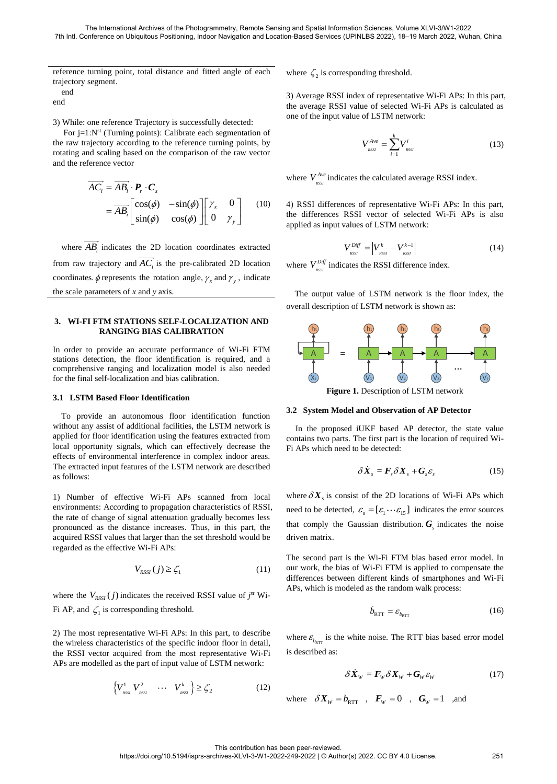reference turning point, total distance and fitted angle of each trajectory segment.

end

end

3) While: one reference Trajectory is successfully detected:

For  $j=1:N^{st}$  (Turning points): Calibrate each segmentation of the raw trajectory according to the reference turning points, by rotating and scaling based on the comparison of the raw vector and the reference vector

$$
\overrightarrow{AC_i} = \overrightarrow{AB_i} \cdot \mathbf{P}_r \cdot \mathbf{C}_s
$$
  
=  $\overrightarrow{AB_i} \begin{bmatrix} \cos(\phi) & -\sin(\phi) \\ \sin(\phi) & \cos(\phi) \end{bmatrix} \begin{bmatrix} \gamma_x & 0 \\ 0 & \gamma_y \end{bmatrix}$  (10)

where  $AB_i$  indicates the 2D location coordinates extracted from raw trajectory and  $AC<sub>i</sub>$  is the pre-calibrated 2D location coordinates.  $\phi$  represents the rotation angle,  $\gamma_x$  and  $\gamma_y$ , indicate the scale parameters of *x* and *y* axis.

## **3. WI-FI FTM STATIONS SELF-LOCALIZATION AND RANGING BIAS CALIBRATION**

In order to provide an accurate performance of Wi-Fi FTM stations detection, the floor identification is required, and a comprehensive ranging and localization model is also needed for the final self-localization and bias calibration.

# **3.1 LSTM Based Floor Identification**

To provide an autonomous floor identification function without any assist of additional facilities, the LSTM network is applied for floor identification using the features extracted from local opportunity signals, which can effectively decrease the effects of environmental interference in complex indoor areas. The extracted input features of the LSTM network are described as follows:

1) Number of effective Wi-Fi APs scanned from local environments: According to propagation characteristics of RSSI, the rate of change of signal attenuation gradually becomes less pronounced as the distance increases. Thus, in this part, the acquired RSSI values that larger than the set threshold would be regarded as the effective Wi-Fi APs:

$$
V_{RSSI}(j) \ge \zeta_1 \tag{11}
$$

where the  $V_{RSSI}(j)$  indicates the received RSSI value of  $j^{st}$  Wi-Fi AP, and  $\zeta_1$  is corresponding threshold.

2) The most representative Wi-Fi APs: In this part, to describe the wireless characteristics of the specific indoor floor in detail, the RSSI vector acquired from the most representative Wi-Fi APs are modelled as the part of input value of LSTM network:

$$
\left\{ V_{\text{RSS}}^1 \quad V_{\text{RSS}}^2 \quad \cdots \quad V_{\text{RSS}}^k \right\} \ge \zeta_2 \tag{12}
$$

# where  $\zeta_2$  is corresponding threshold.

3) Average RSSI index of representative Wi-Fi APs: In this part, the average RSSI value of selected Wi-Fi APs is calculated as one of the input value of LSTM network:

$$
V_{\text{RSS}}^{\text{Ave}} = \sum_{i=1}^{k} V_{\text{RSSI}}^i \tag{13}
$$

where  $V_{\text{RSS}}^{\text{Ave}}$  indicates the calculated average RSSI index.

4) RSSI differences of representative Wi-Fi APs: In this part, the differences RSSI vector of selected Wi-Fi APs is also applied as input values of LSTM network:

$$
V_{\rm{assr}}^{\rm{Diff}} = \left| V_{\rm{assr}}^k - V_{\rm{assr}}^{k-1} \right| \tag{14}
$$

where  $V_{\text{RSSI}}^{Diff}$  indicates the RSSI difference index.

The output value of LSTM network is the floor index, the overall description of LSTM network is shown as:



### **3.2 System Model and Observation of AP Detector**

In the proposed iUKF based AP detector, the state value contains two parts. The first part is the location of required Wi-Fi APs which need to be detected:

$$
\delta \dot{\boldsymbol{X}}_s = \boldsymbol{F}_s \delta \boldsymbol{X}_s + \boldsymbol{G}_s \boldsymbol{\varepsilon}_s \tag{15}
$$

where  $\delta X_s$  is consist of the 2D locations of Wi-Fi APs which need to be detected,  $\varepsilon_s = [\varepsilon_1 \cdots \varepsilon_{15}]$  indicates the error sources that comply the Gaussian distribution.  $G<sub>s</sub>$  indicates the noise driven matrix.

The second part is the Wi-Fi FTM bias based error model. In our work, the bias of Wi-Fi FTM is applied to compensate the differences between different kinds of smartphones and Wi-Fi APs, which is modeled as the random walk process:

$$
\dot{b}_{\text{RTT}} = \varepsilon_{b_{\text{RTT}}} \tag{16}
$$

where  $\varepsilon_{b_{\text{RTT}}}$  is the white noise. The RTT bias based error model is described as:

$$
\delta \dot{X}_w = F_w \delta X_w + G_w \varepsilon_w \tag{17}
$$

where 
$$
\delta X_w = b_{\text{RTT}}
$$
,  $F_w = 0$ ,  $G_w = 1$  ,and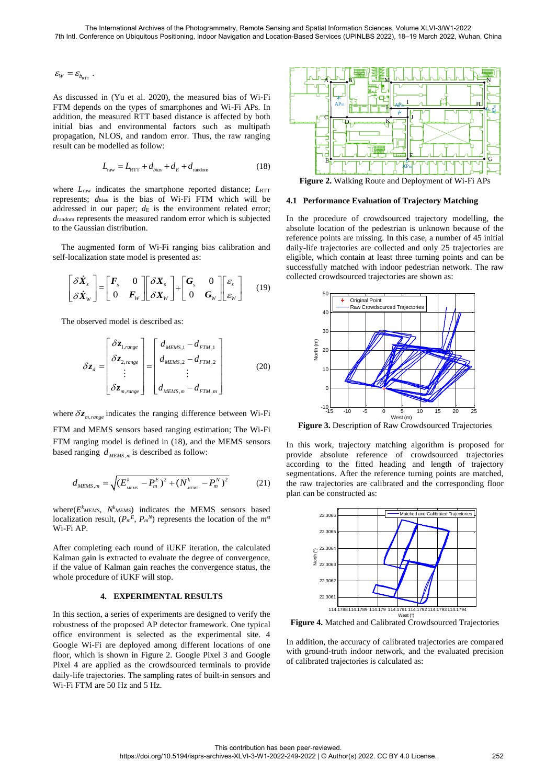$\mathcal{E}_{\mathit{W}} = \mathcal{E}_{\mathit{b}_{\mathrm{RTT}}}$  .

As discussed in (Yu et al. 2020), the measured bias of Wi-Fi FTM depends on the types of smartphones and Wi-Fi APs. In addition, the measured RTT based distance is affected by both initial bias and environmental factors such as multipath propagation, NLOS, and random error. Thus, the raw ranging result can be modelled as follow:

$$
L_{\text{raw}} = L_{\text{RTT}} + d_{bias} + d_E + d_{\text{random}}
$$
 (18)

where  $L_{\text{raw}}$  indicates the smartphone reported distance;  $L_{\text{RTT}}$ represents; *d*bias is the bias of Wi-Fi FTM which will be addressed in our paper;  $d_{\text{E}}$  is the environment related error; *d*random represents the measured random error which is subjected to the Gaussian distribution.

The augmented form of Wi-Fi ranging bias calibration and self-localization state model is presented as:

$$
\begin{bmatrix} \delta \dot{X}_s \\ \delta \dot{X}_w \end{bmatrix} = \begin{bmatrix} F_s & 0 \\ 0 & F_w \end{bmatrix} \begin{bmatrix} \delta X_s \\ \delta X_w \end{bmatrix} + \begin{bmatrix} G_s & 0 \\ 0 & G_w \end{bmatrix} \begin{bmatrix} \varepsilon_s \\ \varepsilon_w \end{bmatrix}
$$
 (19)

The observed model is described as:

$$
\delta z_d = \begin{bmatrix} \delta z_{1, range} \\ \delta z_{2, range} \\ \vdots \\ \delta z_{m, range} \end{bmatrix} = \begin{bmatrix} d_{MEMS,1} - d_{FTM,1} \\ d_{MEMS,2} - d_{FTM,2} \\ \vdots \\ d_{MEMS,m} - d_{FTM,m} \end{bmatrix}
$$
(20)

where  $\delta z_{m, range}$  indicates the ranging difference between Wi-Fi

FTM and MEMS sensors based ranging estimation; The Wi-Fi FTM ranging model is defined in (18), and the MEMS sensors based ranging  $d_{MEMS,m}$  is described as follow:

$$
d_{MEMS,m} = \sqrt{(E_{_{MEMS}}^k - P_m^E)^2 + (N_{_{MEMS}}^k - P_m^N)^2}
$$
 (21)

 $where(E<sup>k</sup> <sub>MEMS</sub>, N<sup>k</sup> <sub>MEMS</sub>)$  indicates the MEMS sensors based localization result,  $(P_m^E, P_m^N)$  represents the location of the  $m^{st}$ Wi-Fi AP.

After completing each round of iUKF iteration, the calculated Kalman gain is extracted to evaluate the degree of convergence, if the value of Kalman gain reaches the convergence status, the whole procedure of iUKF will stop.

# **4. EXPERIMENTAL RESULTS**

In this section, a series of experiments are designed to verify the robustness of the proposed AP detector framework. One typical office environment is selected as the experimental site. 4 Google Wi-Fi are deployed among different locations of one floor, which is shown in Figure 2. Google Pixel 3 and Google Pixel 4 are applied as the crowdsourced terminals to provide daily-life trajectories. The sampling rates of built-in sensors and Wi-Fi FTM are 50 Hz and 5 Hz.



**Figure 2.** Walking Route and Deployment of Wi-Fi APs

#### **4.1 Performance Evaluation of Trajectory Matching**

In the procedure of crowdsourced trajectory modelling, the absolute location of the pedestrian is unknown because of the reference points are missing. In this case, a number of 45 initial daily-life trajectories are collected and only 25 trajectories are eligible, which contain at least three turning points and can be successfully matched with indoor pedestrian network. The raw collected crowdsourced trajectories are shown as:



**Figure 3.** Description of Raw Crowdsourced Trajectories

In this work, trajectory matching algorithm is proposed for provide absolute reference of crowdsourced trajectories according to the fitted heading and length of trajectory segmentations. After the reference turning points are matched, the raw trajectories are calibrated and the corresponding floor plan can be constructed as:



**Figure 4.** Matched and Calibrated Crowdsourced Trajectories

In addition, the accuracy of calibrated trajectories are compared with ground-truth indoor network, and the evaluated precision of calibrated trajectories is calculated as: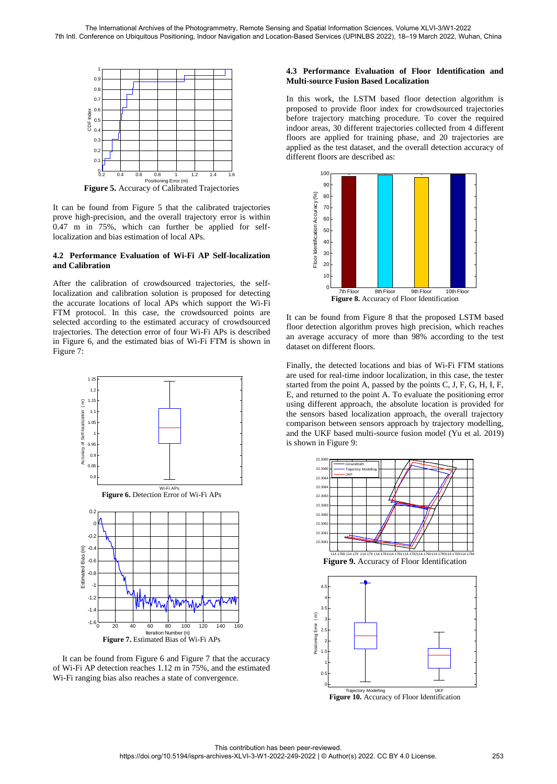

**Figure 5.** Accuracy of Calibrated Trajectories

It can be found from Figure 5 that the calibrated trajectories prove high-precision, and the overall trajectory error is within 0.47 m in 75%, which can further be applied for selflocalization and bias estimation of local APs.

### **4.2 Performance Evaluation of Wi-Fi AP Self-localization and Calibration**

After the calibration of crowdsourced trajectories, the selflocalization and calibration solution is proposed for detecting the accurate locations of local APs which support the Wi-Fi FTM protocol. In this case, the crowdsourced points are selected according to the estimated accuracy of crowdsourced trajectories. The detection error of four Wi-Fi APs is described in Figure 6, and the estimated bias of Wi-Fi FTM is shown in Figure 7:



It can be found from Figure 6 and Figure 7 that the accuracy of Wi-Fi AP detection reaches 1.12 m in 75%, and the estimated Wi-Fi ranging bias also reaches a state of convergence.

# **4.3 Performance Evaluation of Floor Identification and Multi-source Fusion Based Localization**

In this work, the LSTM based floor detection algorithm is proposed to provide floor index for crowdsourced trajectories before trajectory matching procedure. To cover the required indoor areas, 30 different trajectories collected from 4 different floors are applied for training phase, and 20 trajectories are applied as the test dataset, and the overall detection accuracy of different floors are described as:



It can be found from Figure 8 that the proposed LSTM based floor detection algorithm proves high precision, which reaches an average accuracy of more than 98% according to the test dataset on different floors.

Finally, the detected locations and bias of Wi-Fi FTM stations are used for real-time indoor localization, in this case, the tester started from the point A, passed by the points C, J, F, G, H, I, F, E, and returned to the point A. To evaluate the positioning error using different approach, the absolute location is provided for the sensors based localization approach, the overall trajectory comparison between sensors approach by trajectory modelling, and the UKF based multi-source fusion model (Yu et al. 2019) is shown in Figure 9:



**Figure 10.** Accuracy of Floor Identification